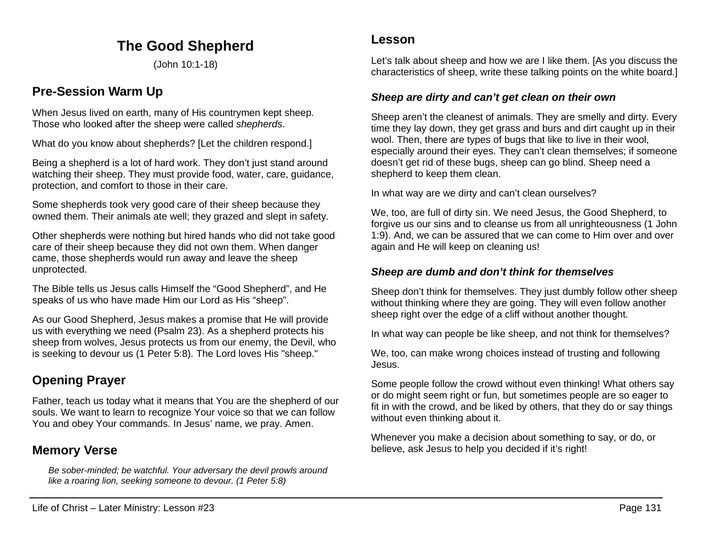# **The Good Shepherd**

(John 10:1-18)

# **Pre-Session Warm Up**

When Jesus lived on earth, many of His countrymen kept sheep. Those who looked after the sheep were called *shepherds*.

What do you know about shepherds? [Let the children respond.]

Being a shepherd is a lot of hard work. They don't just stand around watching their sheep. They must provide food, water, care, guidance, protection, and comfort to those in their care.

Some shepherds took very good care of their sheep because they owned them. Their animals ate well; they grazed and slept in safety.

Other shepherds were nothing but hired hands who did not take good care of their sheep because they did not own them. When danger came, those shepherds would run away and leave the sheep unprotected.

The Bible tells us Jesus calls Himself the "Good Shepherd", and He speaks of us who have made Him our Lord as His "sheep".

As our Good Shepherd, Jesus makes a promise that He will provide us with everything we need (Psalm 23). As a shepherd protects his sheep from wolves, Jesus protects us from our enemy, the Devil, who is seeking to devour us (1 Peter 5:8). The Lord loves His "sheep."

# **Opening Prayer**

Father, teach us today what it means that You are the shepherd of our souls. We want to learn to recognize Your voice so that we can follow You and obey Your commands. In Jesus' name, we pray. Amen.

# **Memory Verse**

*Be sober-minded; be watchful. Your adversary the devil prowls around like a roaring lion, seeking someone to devour. (1 Peter 5:8)*

### **Lesson**

Let's talk about sheep and how we are I like them. [As you discuss the characteristics of sheep, write these talking points on the white board.]

#### *Sheep are dirty and can't get clean on their own*

Sheep aren't the cleanest of animals. They are smelly and dirty. Every time they lay down, they get grass and burs and dirt caught up in their wool. Then, there are types of bugs that like to live in their wool, especially around their eyes. They can't clean themselves; if someone doesn't get rid of these bugs, sheep can go blind. Sheep need a shepherd to keep them clean.

In what way are we dirty and can't clean ourselves?

We, too, are full of dirty sin. We need Jesus, the Good Shepherd, to forgive us our sins and to cleanse us from all unrighteousness (1 John 1:9). And, we can be assured that we can come to Him over and over again and He will keep on cleaning us!

### *Sheep are dumb and don't think for themselves*

Sheep don't think for themselves. They just dumbly follow other sheep without thinking where they are going. They will even follow another sheep right over the edge of a cliff without another thought.

In what way can people be like sheep, and not think for themselves?

We, too, can make wrong choices instead of trusting and following Jesus.

Some people follow the crowd without even thinking! What others say or do might seem right or fun, but sometimes people are so eager to fit in with the crowd, and be liked by others, that they do or say things without even thinking about it.

Whenever you make a decision about something to say, or do, or believe, ask Jesus to help you decided if it's right!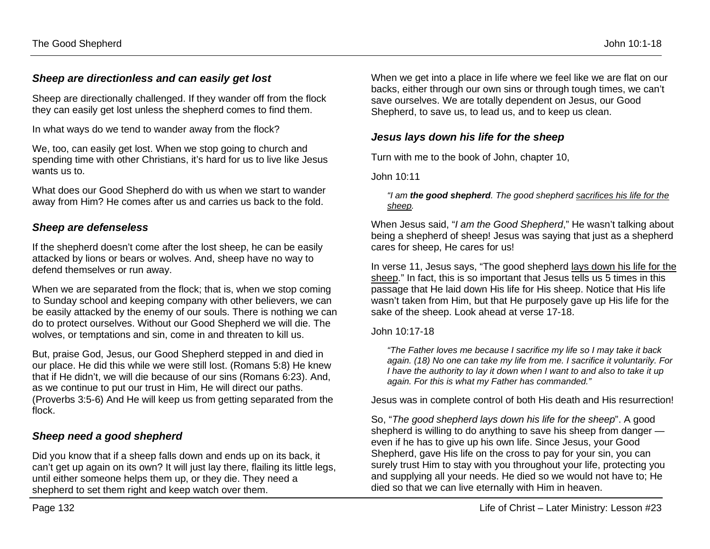### *Sheep are directionless and can easily get lost*

Sheep are directionally challenged. If they wander off from the flock they can easily get lost unless the shepherd comes to find them.

In what ways do we tend to wander away from the flock?

We, too, can easily get lost. When we stop going to church and spending time with other Christians, it's hard for us to live like Jesus wants us to.

What does our Good Shepherd do with us when we start to wander away from Him? He comes after us and carries us back to the fold.

### *Sheep are defenseless*

If the shepherd doesn't come after the lost sheep, he can be easily attacked by lions or bears or wolves. And, sheep have no way to defend themselves or run away.

When we are separated from the flock; that is, when we stop coming to Sunday school and keeping company with other believers, we can be easily attacked by the enemy of our souls. There is nothing we can do to protect ourselves. Without our Good Shepherd we will die. The wolves, or temptations and sin, come in and threaten to kill us.

But, praise God, Jesus, our Good Shepherd stepped in and died in our place. He did this while we were still lost. (Romans 5:8) He knew that if He didn't, we will die because of our sins (Romans 6:23). And, as we continue to put our trust in Him, He will direct our paths. (Proverbs 3:5-6) And He will keep us from getting separated from the flock.

### *Sheep need a good shepherd*

Did you know that if a sheep falls down and ends up on its back, it can't get up again on its own? It will just lay there, flailing its little legs, until either someone helps them up, or they die. They need a shepherd to set them right and keep watch over them.

When we get into a place in life where we feel like we are flat on our backs, either through our own sins or through tough times, we can't save ourselves. We are totally dependent on Jesus, our Good Shepherd, to save us, to lead us, and to keep us clean.

### *Jesus lays down his life for the sheep*

Turn with me to the book of John, chapter 10,

John 10:11

#### *"I am the good shepherd. The good shepherd sacrifices his life for the sheep.*

When Jesus said, "*I am the Good Shepherd*," He wasn't talking about being a shepherd of sheep! Jesus was saying that just as a shepherd cares for sheep, He cares for us!

In verse 11, Jesus says, "The good shepherd lays down his life for the sheep." In fact, this is so important that Jesus tells us 5 times in this passage that He laid down His life for His sheep. Notice that His life wasn't taken from Him, but that He purposely gave up His life for the sake of the sheep. Look ahead at verse 17-18.

#### John 10:17-18

*"The Father loves me because I sacrifice my life so I may take it back again. (18) No one can take my life from me. I sacrifice it voluntarily. For I have the authority to lay it down when I want to and also to take it up again. For this is what my Father has commanded."*

Jesus was in complete control of both His death and His resurrection!

So, "*The good shepherd lays down his life for the sheep*". A good shepherd is willing to do anything to save his sheep from danger even if he has to give up his own life. Since Jesus, your Good Shepherd, gave His life on the cross to pay for your sin, you can surely trust Him to stay with you throughout your life, protecting you and supplying all your needs. He died so we would not have to; He died so that we can live eternally with Him in heaven.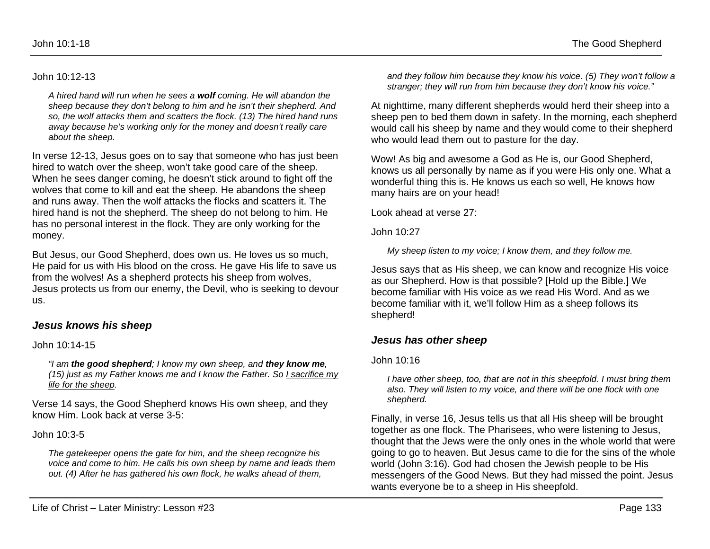#### John 10:12-13

*A hired hand will run when he sees a wolf coming. He will abandon the sheep because they don't belong to him and he isn't their shepherd. And so, the wolf attacks them and scatters the flock. (13) The hired hand runs away because he's working only for the money and doesn't really care about the sheep.* 

In verse 12-13, Jesus goes on to say that someone who has just been hired to watch over the sheep, won't take good care of the sheep. When he sees danger coming, he doesn't stick around to fight off the wolves that come to kill and eat the sheep. He abandons the sheep and runs away. Then the wolf attacks the flocks and scatters it. The hired hand is not the shepherd. The sheep do not belong to him. He has no personal interest in the flock. They are only working for the money.

But Jesus, our Good Shepherd, does own us. He loves us so much, He paid for us with His blood on the cross. He gave His life to save us from the wolves! As a shepherd protects his sheep from wolves, Jesus protects us from our enemy, the Devil, who is seeking to devour us.

#### *Jesus knows his sheep*

John 10:14-15

*"I am the good shepherd; I know my own sheep, and they know me, (15) just as my Father knows me and I know the Father. So I sacrifice my life for the sheep.* 

Verse 14 says, the Good Shepherd knows His own sheep, and they know Him. Look back at verse 3-5:

John 10:3-5

*The gatekeeper opens the gate for him, and the sheep recognize his voice and come to him. He calls his own sheep by name and leads them out. (4) After he has gathered his own flock, he walks ahead of them,* 

*and they follow him because they know his voice. (5) They won't follow a stranger; they will run from him because they don't know his voice."*

At nighttime, many different shepherds would herd their sheep into a sheep pen to bed them down in safety. In the morning, each shepherd would call his sheep by name and they would come to their shepherd who would lead them out to pasture for the day.

Wow! As big and awesome a God as He is, our Good Shepherd, knows us all personally by name as if you were His only one. What a wonderful thing this is. He knows us each so well, He knows how many hairs are on your head!

Look ahead at verse 27:

John 10:27

*My sheep listen to my voice; I know them, and they follow me.*

Jesus says that as His sheep, we can know and recognize His voice as our Shepherd. How is that possible? [Hold up the Bible.] We become familiar with His voice as we read His Word. And as we become familiar with it, we'll follow Him as a sheep follows its shepherd!

### *Jesus has other sheep*

John 10:16

*I have other sheep, too, that are not in this sheepfold. I must bring them also. They will listen to my voice, and there will be one flock with one shepherd.* 

Finally, in verse 16, Jesus tells us that all His sheep will be brought together as one flock. The Pharisees, who were listening to Jesus, thought that the Jews were the only ones in the whole world that were going to go to heaven. But Jesus came to die for the sins of the whole world (John 3:16). God had chosen the Jewish people to be His messengers of the Good News. But they had missed the point. Jesus wants everyone be to a sheep in His sheepfold.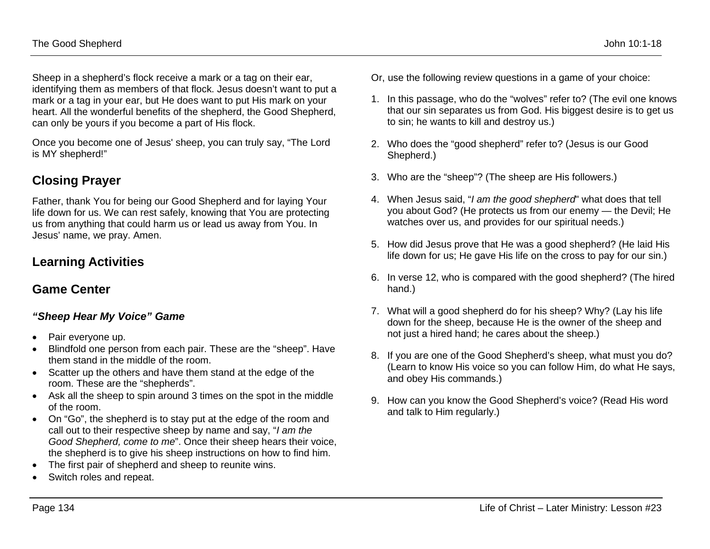Sheep in a shepherd's flock receive a mark or a tag on their ear, identifying them as members of that flock. Jesus doesn't want to put a mark or a tag in your ear, but He does want to put His mark on your heart. All the wonderful benefits of the shepherd, the Good Shepherd, can only be yours if you become a part of His flock.

Once you become one of Jesus' sheep, you can truly say, "The Lord is MY shepherd!"

## **Closing Prayer**

Father, thank You for being our Good Shepherd and for laying Your life down for us. We can rest safely, knowing that You are protecting us from anything that could harm us or lead us away from You. In Jesus' name, we pray. Amen.

# **Learning Activities**

## **Game Center**

### *"Sheep Hear My Voice" Game*

- Pair everyone up.
- Blindfold one person from each pair. These are the "sheep". Have them stand in the middle of the room.
- Scatter up the others and have them stand at the edge of the room. These are the "shepherds".
- Ask all the sheep to spin around 3 times on the spot in the middle of the room.
- On "Go", the shepherd is to stay put at the edge of the room and call out to their respective sheep by name and say, "*I am the Good Shepherd, come to me*". Once their sheep hears their voice, the shepherd is to give his sheep instructions on how to find him.
- The first pair of shepherd and sheep to reunite wins.
- Switch roles and repeat.
- Or, use the following review questions in a game of your choice:
- 1. In this passage, who do the "wolves" refer to? (The evil one knows that our sin separates us from God. His biggest desire is to get us to sin; he wants to kill and destroy us.)
- 2. Who does the "good shepherd" refer to? (Jesus is our Good Shepherd.)
- 3. Who are the "sheep"? (The sheep are His followers.)
- 4. When Jesus said, "*I am the good shepherd*" what does that tell you about God? (He protects us from our enemy — the Devil; He watches over us, and provides for our spiritual needs.)
- 5. How did Jesus prove that He was a good shepherd? (He laid His life down for us; He gave His life on the cross to pay for our sin.)
- 6. In verse 12, who is compared with the good shepherd? (The hired hand.)
- 7. What will a good shepherd do for his sheep? Why? (Lay his life down for the sheep, because He is the owner of the sheep and not just a hired hand; he cares about the sheep.)
- 8. If you are one of the Good Shepherd's sheep, what must you do? (Learn to know His voice so you can follow Him, do what He says, and obey His commands.)
- 9. How can you know the Good Shepherd's voice? (Read His word and talk to Him regularly.)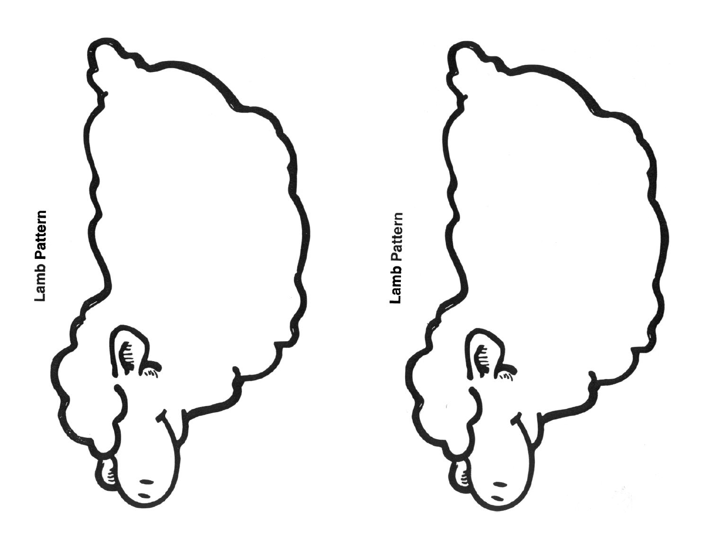